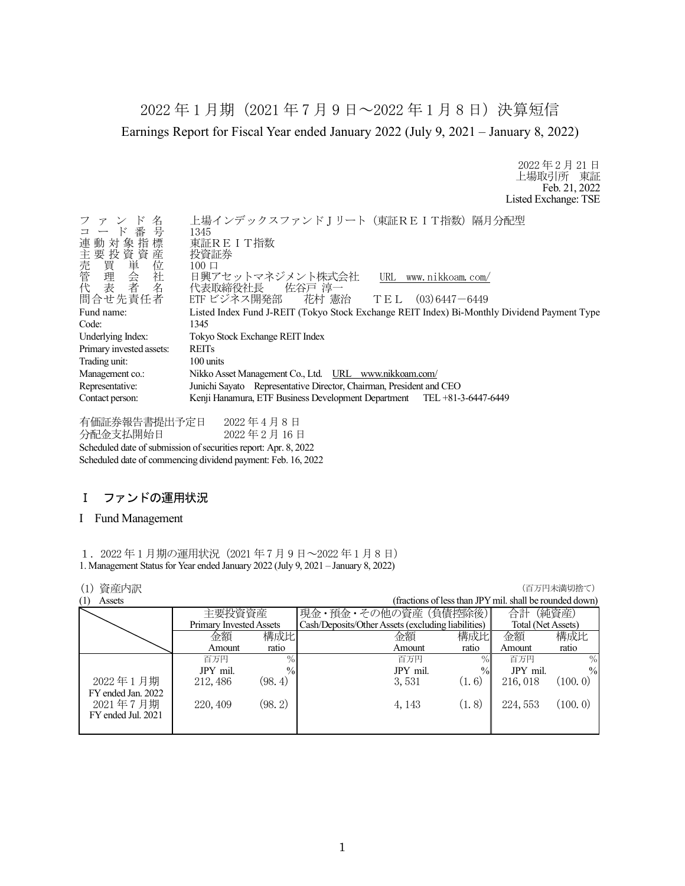2022 年 1 月期(2021 年 7 月 9 日~2022 年 1 月 8 日)決算短信 Earnings Report for Fiscal Year ended January 2022 (July 9, 2021 – January 8, 2022)

> 2022 年 2 月 21 日 上場取引所 東証 Feb. 21, 2022 Listed Exchange: TSE

| ファンド名                              | 上場インデックスファンドJリート (東証REIT指数)隔月分配型                                                            |
|------------------------------------|---------------------------------------------------------------------------------------------|
| コード番号<br>連動対象指標                    | 1345                                                                                        |
|                                    | 東証REIT指数                                                                                    |
|                                    | 投資証券                                                                                        |
|                                    | $100 \Box$                                                                                  |
| )主売管代。<br>「我買理去」<br>「我買理表」<br>「我看」 | 日興アセットマネジメント株式会社<br>URL<br>www.nikkoam.com/                                                 |
|                                    | 代表取締役社長 佐谷戸 淳一                                                                              |
| 問合せ先責任者                            | ETF ビジネス開発部 花村 憲治 TEL (03)6447-6449                                                         |
| Fund name:                         | Listed Index Fund J-REIT (Tokyo Stock Exchange REIT Index) Bi-Monthly Dividend Payment Type |
| Code:                              | 1345                                                                                        |
| Underlying Index:                  | Tokyo Stock Exchange REIT Index                                                             |
| Primary invested assets:           | <b>REITs</b>                                                                                |
| Trading unit:                      | 100 units                                                                                   |
| Management co.:                    | Nikko Asset Management Co., Ltd. URL www.nikkoam.com/                                       |
| Representative:                    | Junichi Sayato Representative Director, Chairman, President and CEO                         |
| Contact person:                    | Kenji Hanamura, ETF Business Development Department TEL +81-3-6447-6449                     |
|                                    |                                                                                             |

有価証券報告書提出予定日 2022 年 4 月 8 日 分配金支払開始日 2022 年 2 月 16 日 Scheduled date of submission of securities report: Apr. 8, 2022 Scheduled date of commencing dividend payment: Feb. 16, 2022

# Ⅰ ファンドの運用状況

## I Fund Management

1.2022 年 1 月期の運用状況(2021 年 7 月 9 日~2022 年 1 月 8 日) 1. Management Status for Year ended January 2022 (July 9, 2021 – January 8, 2022)

## **(1) 資産内訳 インフィング インフィング (1) する (1) する (1) する (1) する (1) する (1) する (1) する (1) する (**

|          |               |                                             |               | 合計                                                                        | (純資産)                                                                         |
|----------|---------------|---------------------------------------------|---------------|---------------------------------------------------------------------------|-------------------------------------------------------------------------------|
|          |               |                                             |               |                                                                           |                                                                               |
| 金額       |               | 金額                                          | 構成比           | 金額                                                                        | 構成比                                                                           |
| Amount   | ratio         | Amount                                      | ratio         | Amount                                                                    | ratio                                                                         |
| 百万円      | $\%$          | 百万円                                         | $\%$          | 百万円                                                                       | $\%$                                                                          |
| JPY mil. | $\frac{0}{0}$ | JPY mil.                                    | $\frac{0}{0}$ | JPY mil.                                                                  | $\frac{0}{0}$                                                                 |
| 212, 486 | (98.4)        | 3,531                                       | (1.6)         | 216, 018                                                                  | (100.0)                                                                       |
|          |               |                                             |               |                                                                           |                                                                               |
| 220, 409 |               | 4, 143                                      | (1, 8)        | 224, 553                                                                  | (100.0)                                                                       |
|          |               |                                             |               |                                                                           |                                                                               |
|          |               |                                             |               |                                                                           |                                                                               |
|          |               | 主要投資資産<br>Primary Invested Assets<br>(98.2) | 構成比           | 現金・預金・その他の資産(負債控除後)<br>Cash/Deposits/Other Assets (excluding liabilities) | (fractions of less than JPY mil. shall be rounded down)<br>Total (Net Assets) |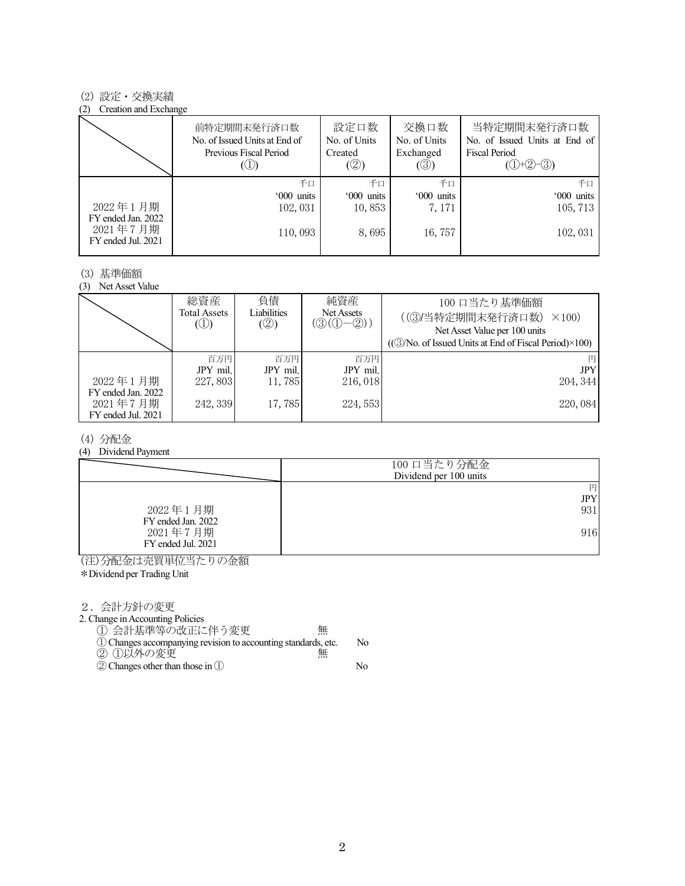## (2) 設定・交換実績

#### (2) Creation and Exchange

|                                                      | 前特定期間末発行済口数<br>No. of Issued Units at End of<br>Previous Fiscal Period | 設定口数<br>No. of Units<br>Created<br>(②) | 交換口数<br>No. of Units<br>Exchanged<br>(③) | 当特定期間末発行済口数<br>No. of Issued Units at End of<br><b>Fiscal Period</b><br>$(①+②-③)$ |
|------------------------------------------------------|------------------------------------------------------------------------|----------------------------------------|------------------------------------------|-----------------------------------------------------------------------------------|
|                                                      | 千口                                                                     | 千口                                     | 千口                                       | 千日                                                                                |
|                                                      | '000 units                                                             | '000 units                             | '000 units                               | '000 units                                                                        |
| 2022年1月期                                             | 102,031                                                                | 10,853                                 | 7, 171                                   | 105, 713                                                                          |
| FY ended Jan. 2022<br>2021年7月期<br>FY ended Jul. 2021 | 110,093                                                                | 8,695                                  | 16, 757                                  | 102,031                                                                           |

#### (3) 基準価額

(3) Net Asset Value

|                                                      | 総資産<br><b>Total Assets</b><br>$\circled{1}$ | 負債<br>Liabilities<br>(②) | 純資産<br>Net Assets<br>$(\textcircled{3}(\textcircled{1}-\textcircled{2}))$ | 100 口当たり基準価額<br>((3)当特定期間末発行済口数)<br>$\times$ 100)<br>Net Asset Value per 100 units<br>$((\textcircled{3}/No. of Issued Units at End of Fiscal Period)\times100)$ |
|------------------------------------------------------|---------------------------------------------|--------------------------|---------------------------------------------------------------------------|------------------------------------------------------------------------------------------------------------------------------------------------------------------|
|                                                      | 百万円                                         | 百万円                      | 百万円                                                                       | 円                                                                                                                                                                |
|                                                      | JPY mil.                                    | JPY mil.                 | JPY mil.                                                                  | <b>JPY</b>                                                                                                                                                       |
| 2022年1月期                                             | 227,803                                     | 11,785                   | 216,018                                                                   | 204, 344                                                                                                                                                         |
| FY ended Jan. 2022<br>2021年7月期<br>FY ended Jul. 2021 | 242, 339                                    | 17,785                   | 224, 553                                                                  | 220,084                                                                                                                                                          |

## (4) 分配金

#### (4) Dividend Payment

|                    | 100 口当たり分配金<br>Dividend per 100 units |
|--------------------|---------------------------------------|
| 2022年1月期           | 円                                     |
| FY ended Jan. 2022 | JPY                                   |
| 2021年7月期           | 931                                   |
| FY ended Jul. 2021 | 916                                   |

(注)分配金は売買単位当たりの金額

\*Dividend per Trading Unit

2.会計方針の変更

2. Change in Accounting Policies

① 会計基準等の改正に伴う変更 無 ①Changes accompanying revision to accounting standards, etc. No

- ② ①以外の変更 無
- ②Changes other than those in ① No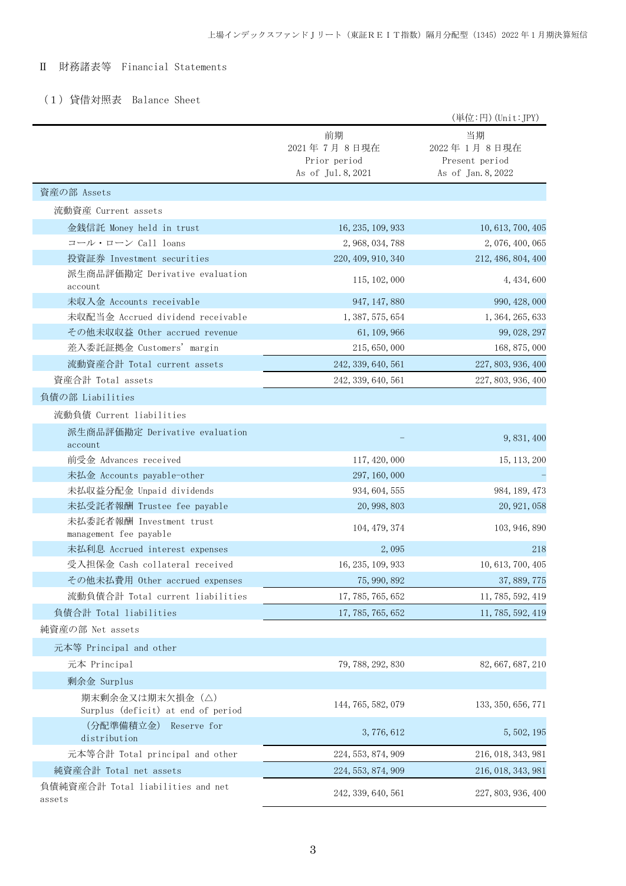# Ⅱ 財務諸表等 Financial Statements

# (1)貸借対照表 Balance Sheet

|                                                        |                                                         | (単位:円) (Unit:JPY)                                         |
|--------------------------------------------------------|---------------------------------------------------------|-----------------------------------------------------------|
|                                                        | 前期<br>2021年7月8日現在<br>Prior period<br>As of Jul. 8, 2021 | 当期<br>2022年1月8日現在<br>Present period<br>As of Jan. 8, 2022 |
| 資産の部 Assets                                            |                                                         |                                                           |
| 流動資産 Current assets                                    |                                                         |                                                           |
| 金銭信託 Money held in trust                               | 16, 235, 109, 933                                       | 10, 613, 700, 405                                         |
| コール・ローン Call loans                                     | 2, 968, 034, 788                                        | 2, 076, 400, 065                                          |
| 投資証券 Investment securities                             | 220, 409, 910, 340                                      | 212, 486, 804, 400                                        |
| 派生商品評価勘定 Derivative evaluation<br>account              | 115, 102, 000                                           | 4, 434, 600                                               |
| 未収入金 Accounts receivable                               | 947, 147, 880                                           | 990, 428, 000                                             |
| 未収配当金 Accrued dividend receivable                      | 1, 387, 575, 654                                        | 1, 364, 265, 633                                          |
| その他未収収益 Other accrued revenue                          | 61, 109, 966                                            | 99, 028, 297                                              |
| 差入委託証拠金 Customers' margin                              | 215, 650, 000                                           | 168, 875, 000                                             |
| 流動資産合計 Total current assets                            | 242, 339, 640, 561                                      | 227, 803, 936, 400                                        |
| 資産合計 Total assets                                      | 242, 339, 640, 561                                      | 227, 803, 936, 400                                        |
| 負債の部 Liabilities                                       |                                                         |                                                           |
| 流動負債 Current liabilities                               |                                                         |                                                           |
| 派生商品評価勘定 Derivative evaluation<br>account              |                                                         | 9, 831, 400                                               |
| 前受金 Advances received                                  | 117, 420, 000                                           | 15, 113, 200                                              |
| 未払金 Accounts payable-other                             | 297, 160, 000                                           |                                                           |
| 未払収益分配金 Unpaid dividends                               | 934, 604, 555                                           | 984, 189, 473                                             |
| 未払受託者報酬 Trustee fee payable                            | 20, 998, 803                                            | 20, 921, 058                                              |
| 未払委託者報酬 Investment trust<br>management fee payable     | 104, 479, 374                                           | 103, 946, 890                                             |
| 未払利息 Accrued interest expenses                         | 2,095                                                   | 218                                                       |
| 受入担保金 Cash collateral received                         | 16, 235, 109, 933                                       | 10, 613, 700, 405                                         |
| その他未払費用 Other accrued expenses                         | 75, 990, 892                                            | 37, 889, 775                                              |
| 流動負債合計 Total current liabilities                       | 17, 785, 765, 652                                       | 11, 785, 592, 419                                         |
| 負債合計 Total liabilities                                 | 17, 785, 765, 652                                       | 11, 785, 592, 419                                         |
| 純資産の部 Net assets                                       |                                                         |                                                           |
| 元本等 Principal and other                                |                                                         |                                                           |
| 元本 Principal                                           | 79, 788, 292, 830                                       | 82, 667, 687, 210                                         |
| 剰余金 Surplus                                            |                                                         |                                                           |
| 期末剰余金又は期末欠損金 (△)<br>Surplus (deficit) at end of period | 144, 765, 582, 079                                      | 133, 350, 656, 771                                        |
| (分配準備積立金)<br>Reserve for<br>distribution               | 3,776,612                                               | 5, 502, 195                                               |
| 元本等合計 Total principal and other                        | 224, 553, 874, 909                                      | 216, 018, 343, 981                                        |
| 純資産合計 Total net assets                                 | 224, 553, 874, 909                                      | 216, 018, 343, 981                                        |
| 負債純資産合計 Total liabilities and net<br>assets            | 242, 339, 640, 561                                      | 227, 803, 936, 400                                        |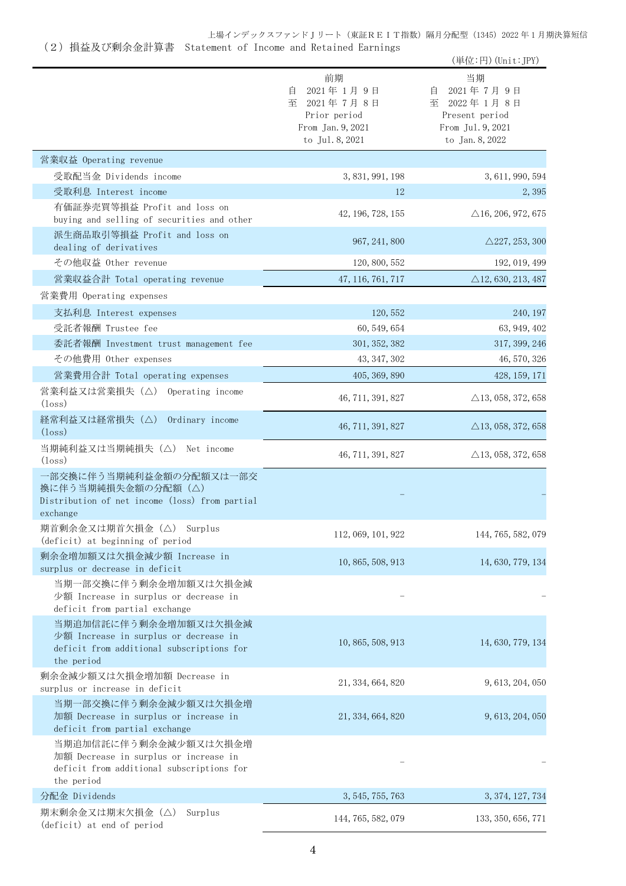# (2)損益及び剰余金計算書 Statement of Income and Retained Earnings

|                                                                                                                           |                                                                                                | (単位:円) (Unit: JPY)                                                                               |
|---------------------------------------------------------------------------------------------------------------------------|------------------------------------------------------------------------------------------------|--------------------------------------------------------------------------------------------------|
|                                                                                                                           | 前期<br>2021年1月9日<br>自<br>至<br>2021年7月8日<br>Prior period<br>From Jan. 9, 2021<br>to Jul. 8, 2021 | 当期<br>2021年7月9日<br>目<br>2022年1月8日<br>至<br>Present period<br>From Jul. 9, 2021<br>to Jan. 8, 2022 |
| 営業収益 Operating revenue                                                                                                    |                                                                                                |                                                                                                  |
| 受取配当金 Dividends income                                                                                                    | 3, 831, 991, 198                                                                               | 3, 611, 990, 594                                                                                 |
| 受取利息 Interest income                                                                                                      | 12                                                                                             | 2,395                                                                                            |
| 有価証券売買等損益 Profit and loss on<br>buying and selling of securities and other                                                | 42, 196, 728, 155                                                                              | $\triangle$ 16, 206, 972, 675                                                                    |
| 派生商品取引等損益 Profit and loss on<br>dealing of derivatives                                                                    | 967, 241, 800                                                                                  | $\triangle$ 227, 253, 300                                                                        |
| その他収益 Other revenue                                                                                                       | 120, 800, 552                                                                                  | 192, 019, 499                                                                                    |
| 営業収益合計 Total operating revenue                                                                                            | 47, 116, 761, 717                                                                              | $\triangle$ 12, 630, 213, 487                                                                    |
| 営業費用 Operating expenses                                                                                                   |                                                                                                |                                                                                                  |
| 支払利息 Interest expenses                                                                                                    | 120, 552                                                                                       | 240, 197                                                                                         |
| 受託者報酬 Trustee fee                                                                                                         | 60, 549, 654                                                                                   | 63, 949, 402                                                                                     |
| 委託者報酬 Investment trust management fee                                                                                     | 301, 352, 382                                                                                  | 317, 399, 246                                                                                    |
| その他費用 Other expenses                                                                                                      | 43, 347, 302                                                                                   | 46, 570, 326                                                                                     |
| 営業費用合計 Total operating expenses                                                                                           | 405, 369, 890                                                                                  | 428, 159, 171                                                                                    |
| 営業利益又は営業損失 (△) Operating income<br>$(\text{loss})$                                                                        | 46, 711, 391, 827                                                                              | $\triangle$ 13, 058, 372, 658                                                                    |
| 経常利益又は経常損失(△)<br>Ordinary income<br>$(\text{loss})$                                                                       | 46, 711, 391, 827                                                                              | $\triangle$ 13, 058, 372, 658                                                                    |
| 当期純利益又は当期純損失 (△) Net income<br>$(\text{loss})$                                                                            | 46, 711, 391, 827                                                                              | $\triangle$ 13, 058, 372, 658                                                                    |
| 一部交換に伴う当期純利益金額の分配額又は一部交<br>換に伴う当期純損失金額の分配額 (△)<br>Distribution of net income (loss) from partial<br>exchange              |                                                                                                |                                                                                                  |
| 期首剰余金又は期首欠損金 (△) Surplus<br>(deficit) at beginning of period                                                              | 112, 069, 101, 922                                                                             | 144, 765, 582, 079                                                                               |
| 剰余金増加額又は欠損金減少額 Increase in<br>surplus or decrease in deficit                                                              | 10, 865, 508, 913                                                                              | 14, 630, 779, 134                                                                                |
| 当期一部交換に伴う剰余金増加額又は欠損金減<br>少額 Increase in surplus or decrease in<br>deficit from partial exchange                           |                                                                                                |                                                                                                  |
| 当期追加信託に伴う剰余金増加額又は欠損金減<br>少額 Increase in surplus or decrease in<br>deficit from additional subscriptions for<br>the period | 10, 865, 508, 913                                                                              | 14, 630, 779, 134                                                                                |
| 剰余金減少額又は欠損金増加額 Decrease in<br>surplus or increase in deficit                                                              | 21, 334, 664, 820                                                                              | 9, 613, 204, 050                                                                                 |
| 当期一部交換に伴う剰余金減少額又は欠損金増<br>加額 Decrease in surplus or increase in<br>deficit from partial exchange                           | 21, 334, 664, 820                                                                              | 9, 613, 204, 050                                                                                 |
| 当期追加信託に伴う剰余金減少額又は欠損金増<br>加額 Decrease in surplus or increase in<br>deficit from additional subscriptions for<br>the period |                                                                                                |                                                                                                  |
| 分配金 Dividends                                                                                                             | 3, 545, 755, 763                                                                               | 3, 374, 127, 734                                                                                 |
| 期末剰余金又は期末欠損金(△)<br>Surplus<br>(deficit) at end of period                                                                  | 144, 765, 582, 079                                                                             | 133, 350, 656, 771                                                                               |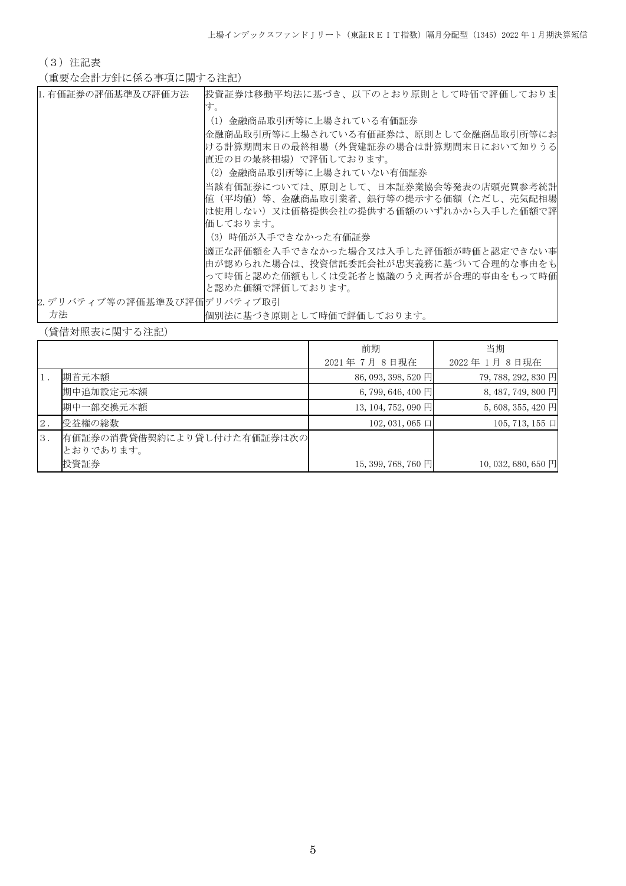(3)注記表

(重要な会計方針に係る事項に関する注記)

| 1. 有価証券の評価基準及び評価方法          | 投資証券は移動平均法に基づき、以下のとおり原則として時価で評価しておりま<br>す。                                                                                                    |
|-----------------------------|-----------------------------------------------------------------------------------------------------------------------------------------------|
|                             | (1)金融商品取引所等に上場されている有価証券                                                                                                                       |
|                             | 金融商品取引所等に上場されている有価証券は、原則として金融商品取引所等にお <br>ける計算期間末日の最終相場(外貨建証券の場合は計算期間末日において知りうる<br>直近の日の最終相場)で評価しております。                                       |
|                             | (2)金融商品取引所等に上場されていない有価証券                                                                                                                      |
|                             | 当該有価証券については、原則として、日本証券業協会等発表の店頭売買参考統計                                                                                                         |
|                             | 値(平均値)等、金融商品取引業者、銀行等の提示する価額(ただし、売気配相場                                                                                                         |
|                             | は使用しない)又は価格提供会社の提供する価額のいずれかから入手した価額で評<br>価しております。                                                                                             |
|                             | (3) 時価が入手できなかった有価証券                                                                                                                           |
|                             | 適正な評価額を入手できなかった場合又は入手した評価額が時価と認定できない事<br> 由が認められた場合は、投資信託委託会社が忠実義務に基づいて合理的な事由をも<br>って時価と認めた価額もしくは受託者と協議のうえ両者が合理的事由をもって時価<br> と認めた価額で評価しております。 |
| 2. デリバティブ等の評価基準及び評価デリバティブ取引 |                                                                                                                                               |
| 方法                          | 個別法に基づき原則として時価で評価しております。                                                                                                                      |

(貸借対照表に関する注記)

|    |                                         | 前期                   | 当期                   |
|----|-----------------------------------------|----------------------|----------------------|
|    |                                         | 2021年7月8日現在          | 2022年1月8日現在          |
|    | 期首元本額                                   | 86, 093, 398, 520 円  | 79, 788, 292, 830 円  |
|    | 期中追加設定元本額                               | $6,799,646,400$ 円    | 8, 487, 749, 800 円   |
|    | 期中一部交換元本額                               | 13, 104, 752, 090 円  | $5,608,355,420$ 円    |
| 2. | 受益権の総数                                  | $102, 031, 065 \Box$ | $105, 713, 155 \Box$ |
| 3. | 有価証券の消費貸借契約により貸し付けた有価証券は次の<br>とおりであります。 |                      |                      |
|    | 投資証券                                    | 15, 399, 768, 760 円  | $10,032,680,650$ 円   |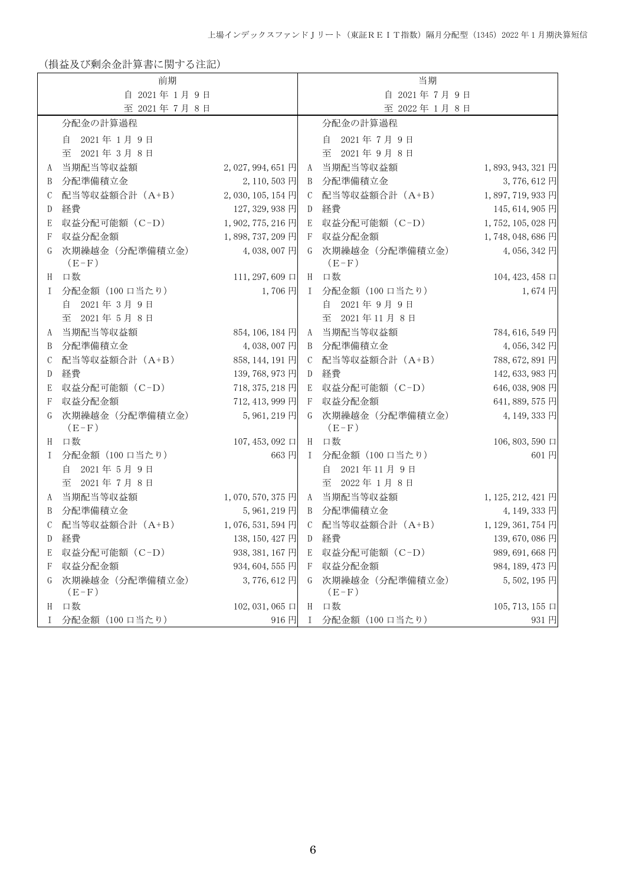(損益及び剰余金計算書に関する注記)

|             | 前期                         |                      |               | 当期                              |                      |
|-------------|----------------------------|----------------------|---------------|---------------------------------|----------------------|
| 自 2021年1月9日 |                            |                      |               | 自 2021年7月9日                     |                      |
|             | 至 2021年7月8日                |                      |               | 至 2022年1月8日                     |                      |
|             | 分配金の計算過程                   |                      |               | 分配金の計算過程                        |                      |
|             | 自 2021年1月9日                |                      |               | 2021年7月9日<br>自                  |                      |
|             | 至 2021年3月8日                |                      |               | 至 2021年9月8日                     |                      |
| A           | 当期配当等収益額                   | 2, 027, 994, 651 円   |               | A 当期配当等収益額                      | 1,893,943,321円       |
| B           | 分配準備積立金                    | 2,110,503円           |               | B 分配準備積立金                       | 3,776,612円           |
| C           | 配当等収益額合計 (A+B)             | 2,030,105,154円       | $\mathcal{C}$ | 配当等収益額合計 (A+B)                  | 1,897,719,933円       |
| D           | 経費                         | 127, 329, 938 円      | D             | 経費                              | 145, 614, 905 円      |
| E           | 収益分配可能額 (C-D)              | 1,902,775,216円       | E             | 収益分配可能額 (C-D)                   | 1,752,105,028円       |
| F           | 収益分配金額                     | 1,898,737,209円       | F             | 収益分配金額                          | 1,748,048,686円       |
| G           | 次期繰越金 (分配準備積立金)<br>$(E-F)$ | 4,038,007円           |               | 次期繰越金 (分配準備積立金)<br>G<br>$(E-F)$ | 4,056,342円           |
| H           | 口数                         | 111, 297, 609 $\Box$ |               | H 口数                            | 104, 423, 458 口      |
| Ι           | 分配金額 (100 口当たり)            | 1,706円               |               | I 分配金額 (100 口当たり)               | 1,674円               |
|             | 2021年3月9日<br>自             |                      |               | 2021年9月9日<br>自                  |                      |
|             | 至 2021年5月8日                |                      |               | 至 2021年11月8日                    |                      |
| A           | 当期配当等収益額                   | 854, 106, 184 円      |               | A 当期配当等収益額                      | 784, 616, 549 円      |
| B           | 分配準備積立金                    | 4,038,007円           |               | B 分配準備積立金                       | 4,056,342円           |
| C           | 配当等収益額合計 (A+B)             | 858, 144, 191 円      |               | C 配当等収益額合計 (A+B)                | 788, 672, 891 円      |
| D           | 経費                         | 139, 768, 973 円      | D             | 経費                              | 142, 633, 983 円      |
| E           | 収益分配可能額 (C-D)              | 718, 375, 218 円      | E             | 収益分配可能額 (C-D)                   | 646, 038, 908 円      |
| F           | 収益分配金額                     | 712, 413, 999 円      |               | 収益分配金額<br>F                     | 641, 889, 575 円      |
| G           | 次期繰越金 (分配準備積立金)<br>$(E-F)$ | 5,961,219円           |               | G 次期繰越金 (分配準備積立金)<br>$(E-F)$    | 4, 149, 333 円        |
| H           | 口数                         | $107, 453, 092 \Box$ |               | H 口数                            | 106, 803, 590 口      |
| I           | 分配金額 (100 口当たり)            | 663円                 |               | I 分配金額 (100 口当たり)               | 601円                 |
|             | 2021年5月9日<br>自             |                      |               | 2021年11月9日<br>自                 |                      |
|             | 至 2021年7月8日                |                      |               | 至 2022年1月8日                     |                      |
| A           | 当期配当等収益額                   | 1,070,570,375円       |               | A 当期配当等収益額                      | 1, 125, 212, 421 円   |
| B           | 分配準備積立金                    | 5,961,219円           |               | B 分配準備積立金                       | 4, 149, 333 円        |
| C           | 配当等収益額合計 (A+B)             | 1,076,531,594円       | $\mathbb{C}$  | 配当等収益額合計 (A+B)                  | 1, 129, 361, 754 円   |
| D           | 経費                         | 138, 150, 427 円      | D             | 経費                              | 139,670,086円         |
| Е           | 収益分配可能額 (C-D)              | 938, 381, 167 円      | E             | 収益分配可能額(C-D)                    | 989, 691, 668 円      |
| F           | 収益分配金額                     | 934, 604, 555 円      |               | F 収益分配金額                        | 984, 189, 473 円      |
| G           | 次期繰越金 (分配準備積立金)<br>$(E-F)$ | 3,776,612円           |               | G 次期繰越金 (分配準備積立金)<br>$(E-F)$    | 5,502,195円           |
| H           | 口数                         | 102, 031, 065 口      | H             | 口数                              | 105, 713, 155 $\Box$ |
| T           | 分配金額 (100 口当たり)            | 916円                 | Ι.            | 分配金額(100 口当たり)                  | 931円                 |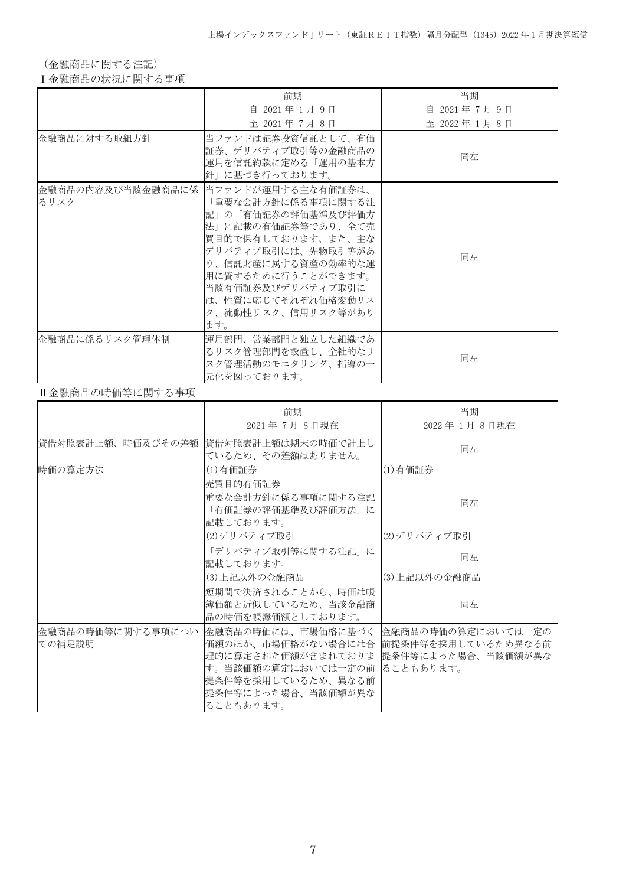(金融商品に関する注記)

Ⅰ金融商品の状況に関する事項

|                | 前期                                                                                                                                                                                                                                                                        | 当期            |
|----------------|---------------------------------------------------------------------------------------------------------------------------------------------------------------------------------------------------------------------------------------------------------------------------|---------------|
|                | 自 2021年 1月 9日                                                                                                                                                                                                                                                             | 自 2021年7月9日   |
|                | 至 2021年 7月 8日                                                                                                                                                                                                                                                             | 至 2022年 1月 8日 |
| 金融商品に対する取組方針   | 当ファンドは証券投資信託として、有価 <br>証券、デリバティブ取引等の金融商品の<br>運用を信託約款に定める「運用の基本方<br>飴」に基づき行っております。                                                                                                                                                                                         | 同左            |
| るリスク           | 金融商品の内容及び当該金融商品に係   当ファンドが運用する主な有価証券は、<br>「重要な会計方針に係る事項に関する注<br>記」の「有価証券の評価基準及び評価方<br>法」に記載の有価証券等であり、全て売<br> 買目的で保有しております。また、主な<br>デリバティブ取引には、先物取引等があ<br>り、信託財産に属する資産の効率的な運<br>用に資するために行うことができます。<br>当該有価証券及びデリバティブ取引に<br>は、性質に応じてそれぞれ価格変動リス<br>ク、流動性リスク、信用リスク等があり<br>ます。 | 同左            |
| 金融商品に係るリスク管理体制 | 運用部門、営業部門と独立した組織であ<br>るリスク管理部門を設置し、全社的なリ<br>スク管理活動のモニタリング、指導の一<br>元化を図っております。                                                                                                                                                                                             | 同左            |

## Ⅱ金融商品の時価等に関する事項

|                             | 前期<br>2021年7月8日現在                                                                                                                                                                                 | 当期<br>2022年1月8日現在  |
|-----------------------------|---------------------------------------------------------------------------------------------------------------------------------------------------------------------------------------------------|--------------------|
| 貸借対照表計上額、時価及びその差額           | 貸借対照表計上額は期末の時価で計上し<br>ているため、その差額はありません。                                                                                                                                                           | 同左                 |
| 時価の算定方法                     | (1)有価証券<br>売買目的有価証券<br>重要な会計方針に係る事項に関する注記                                                                                                                                                         | (1)有価証券            |
|                             | 「有価証券の評価基準及び評価方法」に<br>記載しております。                                                                                                                                                                   | 同左                 |
|                             | (2)デリバティブ取引                                                                                                                                                                                       | (2)デリバティブ取引        |
|                             | 「デリバティブ取引等に関する注記」に<br>記載しております。                                                                                                                                                                   | 同左                 |
|                             | (3)上記以外の金融商品                                                                                                                                                                                      | (3) 上記以外の金融商品      |
|                             | 短期間で決済されることから、時価は帳<br>簿価額と近似しているため、当該金融商<br>品の時価を帳簿価額としております。                                                                                                                                     | 同左                 |
| 金融商品の時価等に関する事項につい<br>ての補足説明 | 金融商品の時価には、市場価格に基づく 金融商品の時価の算定においては一定の<br> 価額のほか、市場価格がない場合には合  前提条件等を採用しているため異なる前 <br>理的に算定された価額が含まれておりま<br>す。当該価額の算定においては一定の前  ることもあります。<br>提条件等を採用しているため、異なる前<br>提条件等によった場合、当該価額が異な<br>ることもあります。 | 提条件等によった場合、当該価額が異な |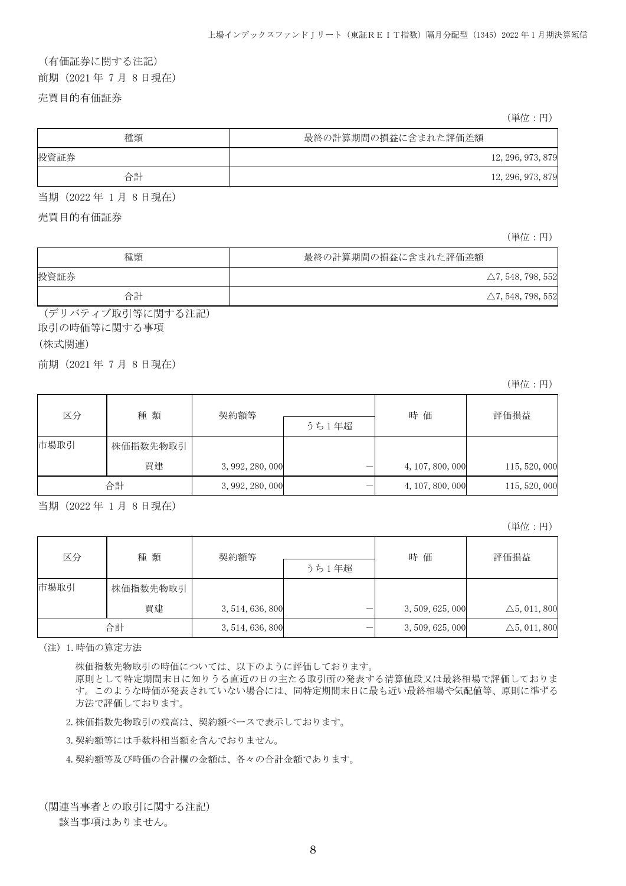# (有価証券に関する注記) 前期(2021 年 7 月 8 日現在)

売買目的有価証券

(単位:円)

| 種類   | 最終の計算期間の損益に含まれた評価差額 |  |  |
|------|---------------------|--|--|
| 投資証券 | 12, 296, 973, 879   |  |  |
| 合計   | 12, 296, 973, 879   |  |  |

当期(2022 年 1 月 8 日現在)

売買目的有価証券

(単位:円)

| 種類   | 最終の計算期間の損益に含まれた評価差額          |  |  |
|------|------------------------------|--|--|
| 投資証券 | $\triangle$ 7, 548, 798, 552 |  |  |
| 合計   | $\triangle$ 7, 548, 798, 552 |  |  |

(デリバティブ取引等に関する注記) 取引の時価等に関する事項

(株式関連)

前期(2021 年 7 月 8 日現在)

(単位:円)

| 区分   | 種 類      | 契約額等             |       | 時 価              | 評価損益          |
|------|----------|------------------|-------|------------------|---------------|
|      |          |                  | うち1年超 |                  |               |
| 市場取引 | 株価指数先物取引 |                  |       |                  |               |
|      | 買建       | 3, 992, 280, 000 |       | 4, 107, 800, 000 | 115, 520, 000 |
|      | 合計       | 3, 992, 280, 000 |       | 4, 107, 800, 000 | 115, 520, 000 |

当期(2022 年 1 月 8 日現在)

(単位:円)

| 区分   | 種類       | 契約額等             |       | 時価               | 評価損益                    |
|------|----------|------------------|-------|------------------|-------------------------|
|      |          |                  | うち1年超 |                  |                         |
| 市場取引 | 株価指数先物取引 |                  |       |                  |                         |
|      | 買建       | 3, 514, 636, 800 |       | 3, 509, 625, 000 | $\triangle 5, 011, 800$ |
|      | 合計       | 3, 514, 636, 800 |       | 3,509,625,000    | $\triangle 5, 011, 800$ |

(注)1.時価の算定方法

株価指数先物取引の時価については、以下のように評価しております。

原則として特定期間末日に知りうる直近の日の主たる取引所の発表する清算値段又は最終相場で評価しておりま す。このような時価が発表されていない場合には、同特定期間末日に最も近い最終相場や気配値等、原則に準ずる 方法で評価しております。

2.株価指数先物取引の残高は、契約額ベースで表示しております。

3.契約額等には手数料相当額を含んでおりません。

4.契約額等及び時価の合計欄の金額は、各々の合計金額であります。

(関連当事者との取引に関する注記)

該当事項はありません。